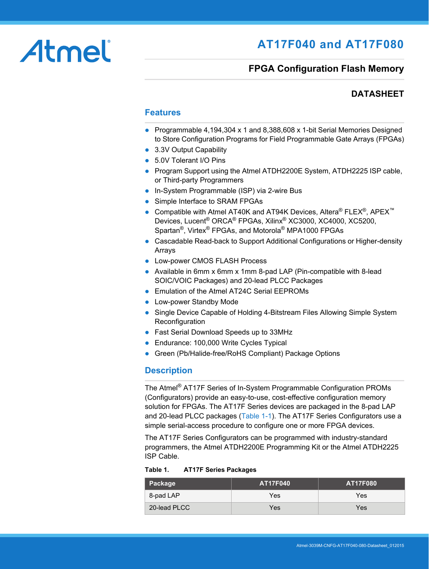# Atmel

# **AT17F040 and AT17F080**

## **FPGA Configuration Flash Memory**

## **DATASHEET**

#### **Features**

- Programmable 4,194,304 x 1 and 8,388,608 x 1-bit Serial Memories Designed to Store Configuration Programs for Field Programmable Gate Arrays (FPGAs)
- 3.3V Output Capability
- 5.0V Tolerant I/O Pins
- Program Support using the Atmel ATDH2200E System, ATDH2225 ISP cable, or Third-party Programmers
- In-System Programmable (ISP) via 2-wire Bus
- Simple Interface to SRAM FPGAs
- Compatible with Atmel AT40K and AT94K Devices, Altera® FLEX<sup>®</sup>, APEX<sup>™</sup> Devices, Lucent® ORCA® FPGAs, Xilinx® XC3000, XC4000, XC5200, Spartan®, Virtex® FPGAs, and Motorola® MPA1000 FPGAs
- Cascadable Read-back to Support Additional Configurations or Higher-density Arrays
- **Low-power CMOS FLASH Process**
- Available in 6mm x 6mm x 1mm 8-pad LAP (Pin-compatible with 8-lead SOIC/VOIC Packages) and 20-lead PLCC Packages
- Emulation of the Atmel AT24C Serial EEPROMs
- Low-power Standby Mode
- Single Device Capable of Holding 4-Bitstream Files Allowing Simple System **Reconfiguration**
- Fast Serial Download Speeds up to 33MHz
- **Endurance: 100,000 Write Cycles Typical**
- Green (Pb/Halide-free/RoHS Compliant) Package Options

#### **Description**

The Atmel® AT17F Series of In-System Programmable Configuration PROMs (Configurators) provide an easy-to-use, cost-effective configuration memory solution for FPGAs. The AT17F Series devices are packaged in the 8-pad LAP and 20-lead PLCC packages [\(Table 1-1](#page-1-0)). The AT17F Series Configurators use a simple serial-access procedure to configure one or more FPGA devices.

The AT17F Series Configurators can be programmed with industry-standard programmers, the Atmel ATDH2200E Programming Kit or the Atmel ATDH2225 ISP Cable.

**Table 1. AT17F Series Packages**

| Package      | <b>AT17F040</b> | <b>AT17F080</b> |
|--------------|-----------------|-----------------|
| 8-pad LAP    | Yes             | Yes             |
| 20-lead PLCC | Yes             | Yes             |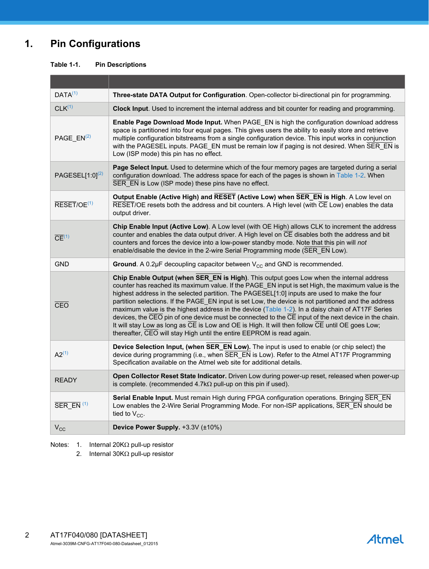## **1. Pin Configurations**

<span id="page-1-0"></span>

| <b>Table 1-1.</b> | <b>Pin Descriptions</b> |
|-------------------|-------------------------|
|                   |                         |

| DATA <sup>(1)</sup>                            | Three-state DATA Output for Configuration. Open-collector bi-directional pin for programming.                                                                                                                                                                                                                                                                                                                                                                                                                                                                                                                                                                                                                                                                                                                 |
|------------------------------------------------|---------------------------------------------------------------------------------------------------------------------------------------------------------------------------------------------------------------------------------------------------------------------------------------------------------------------------------------------------------------------------------------------------------------------------------------------------------------------------------------------------------------------------------------------------------------------------------------------------------------------------------------------------------------------------------------------------------------------------------------------------------------------------------------------------------------|
| CLK <sup>(1)</sup>                             | Clock Input. Used to increment the internal address and bit counter for reading and programming.                                                                                                                                                                                                                                                                                                                                                                                                                                                                                                                                                                                                                                                                                                              |
| PAGE $EN(2)$                                   | Enable Page Download Mode Input. When PAGE_EN is high the configuration download address<br>space is partitioned into four equal pages. This gives users the ability to easily store and retrieve<br>multiple configuration bitstreams from a single configuration device. This input works in conjunction<br>with the PAGESEL inputs. PAGE_EN must be remain low if paging is not desired. When SER_EN is<br>Low (ISP mode) this pin has no effect.                                                                                                                                                                                                                                                                                                                                                          |
| PAGESEL $[1:0]^{(2)}$                          | Page Select Input. Used to determine which of the four memory pages are targeted during a serial<br>configuration download. The address space for each of the pages is shown in Table 1-2. When<br>SER EN is Low (ISP mode) these pins have no effect.                                                                                                                                                                                                                                                                                                                                                                                                                                                                                                                                                        |
| $\overline{\mathsf{REST}} / \mathsf{OE}^{(1)}$ | Output Enable (Active High) and RESET (Active Low) when SER_EN is High. A Low level on<br>RESET/OE resets both the address and bit counters. A High level (with CE Low) enables the data<br>output driver.                                                                                                                                                                                                                                                                                                                                                                                                                                                                                                                                                                                                    |
| $\overline{CE}$ <sup>(1)</sup>                 | Chip Enable Input (Active Low). A Low level (with OE High) allows CLK to increment the address<br>counter and enables the data output driver. A High level on CE disables both the address and bit<br>counters and forces the device into a low-power standby mode. Note that this pin will not<br>enable/disable the device in the 2-wire Serial Programming mode (SER EN Low).                                                                                                                                                                                                                                                                                                                                                                                                                              |
| <b>GND</b>                                     | Ground. A 0.2 $\mu$ F decoupling capacitor between $V_{CC}$ and GND is recommended.                                                                                                                                                                                                                                                                                                                                                                                                                                                                                                                                                                                                                                                                                                                           |
| CEO                                            | Chip Enable Output (when SER_EN is High). This output goes Low when the internal address<br>counter has reached its maximum value. If the PAGE EN input is set High, the maximum value is the<br>highest address in the selected partition. The PAGESEL[1:0] inputs are used to make the four<br>partition selections. If the PAGE_EN input is set Low, the device is not partitioned and the address<br>maximum value is the highest address in the device (Table 1-2). In a daisy chain of AT17F Series<br>devices, the $CEO$ pin of one device must be connected to the $\overline{CE}$ input of the next device in the chain.<br>It will stay Low as long as CE is Low and OE is High. It will then follow CE until OE goes Low;<br>thereafter, CEO will stay High until the entire EEPROM is read again. |
| $A2^{(1)}$                                     | Device Selection Input, (when SER_EN Low). The input is used to enable (or chip select) the<br>device during programming (i.e., when SER EN is Low). Refer to the Atmel AT17F Programming<br>Specification available on the Atmel web site for additional details.                                                                                                                                                                                                                                                                                                                                                                                                                                                                                                                                            |
| <b>READY</b>                                   | Open Collector Reset State Indicator. Driven Low during power-up reset, released when power-up<br>is complete. (recommended $4.7k\Omega$ pull-up on this pin if used).                                                                                                                                                                                                                                                                                                                                                                                                                                                                                                                                                                                                                                        |
| SER EN <sup>(1)</sup>                          | Serial Enable Input. Must remain High during FPGA configuration operations. Bringing SER EN<br>Low enables the 2-Wire Serial Programming Mode. For non-ISP applications, SER EN should be<br>tied to $V_{CC}$ .                                                                                                                                                                                                                                                                                                                                                                                                                                                                                                                                                                                               |
| $V_{\rm CC}$                                   | Device Power Supply. +3.3V (±10%)                                                                                                                                                                                                                                                                                                                                                                                                                                                                                                                                                                                                                                                                                                                                                                             |

<span id="page-1-2"></span><span id="page-1-1"></span>Notes: 1. Internal 20K $\Omega$  pull-up resistor

2. Internal  $30K\Omega$  pull-up resistor

**Atmel**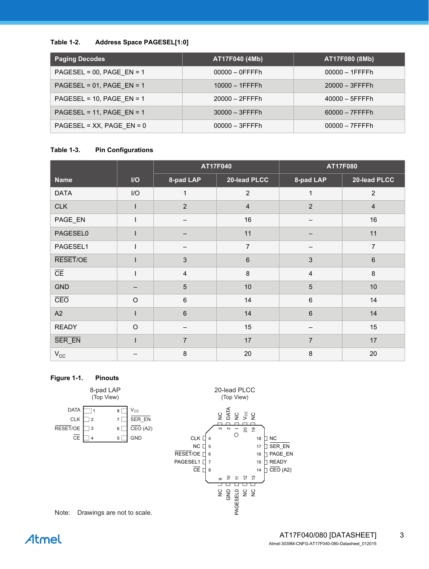#### <span id="page-2-0"></span>**Table 1-2. Address Space PAGESEL[1:0]**

| <b>Paging Decodes</b>          | AT17F040 (4Mb)    | AT17F080 (8Mb)    |
|--------------------------------|-------------------|-------------------|
| PAGESEL = $00$ , PAGE EN = 1   | $00000 - 0$ FFFFh | $00000 - 1$ FFFFh |
| PAGESEL = $01$ , PAGE EN = 1   | $10000 - 1$ FFFFh | $20000 - 3$ FFFFh |
| PAGESEL = 10, PAGE EN = 1      | $20000 - 2$ FFFFh | $40000 - 5$ FFFFh |
| PAGESEL = $11$ , PAGE_EN = $1$ | $30000 - 3$ FFFFh | $60000 - 7$ FFFFh |
| $PAGESEL = XX, PAGE_EN = 0$    | $00000 - 3$ FFFFh | $00000 - 7$ FFFFh |

#### **Table 1-3. Pin Configurations**

|                        |                         | AT17F040       |                |                | AT17F080       |
|------------------------|-------------------------|----------------|----------------|----------------|----------------|
| <b>Name</b>            | $\mathsf{I}/\mathsf{O}$ | 8-pad LAP      | 20-lead PLCC   | 8-pad LAP      | 20-lead PLCC   |
| <b>DATA</b>            | I/O                     | $\mathbf{1}$   | $\overline{2}$ | $\mathbf{1}$   | $\overline{2}$ |
| <b>CLK</b>             |                         | $\overline{2}$ | $\overline{4}$ | $\overline{2}$ | $\overline{4}$ |
| PAGE_EN                |                         | —              | 16             |                | 16             |
| PAGESEL0               |                         |                | 11             |                | 11             |
| PAGESEL1               |                         |                | $\overline{7}$ |                | $\overline{7}$ |
| RESET/OE               |                         | $\mathbf{3}$   | $6\phantom{1}$ | 3              | $6\phantom{1}$ |
| $\overline{\text{CE}}$ |                         | $\overline{4}$ | 8              | $\overline{4}$ | 8              |
| <b>GND</b>             |                         | 5              | 10             | 5              | 10             |
| CEO                    | $\Omega$                | $6\phantom{1}$ | 14             | $6\,$          | 14             |
| A2                     |                         | $\,6\,$        | 14             | $6\phantom{1}$ | 14             |
| <b>READY</b>           | $\circ$                 |                | 15             |                | 15             |
| SER_EN                 |                         | $\overline{7}$ | 17             | $\overline{7}$ | 17             |
| $V_{\rm CC}$           |                         | $\,8\,$        | 20             | 8              | 20             |

#### **Figure 1-1. Pinouts**



Note: Drawings are not to scale.

# Atmel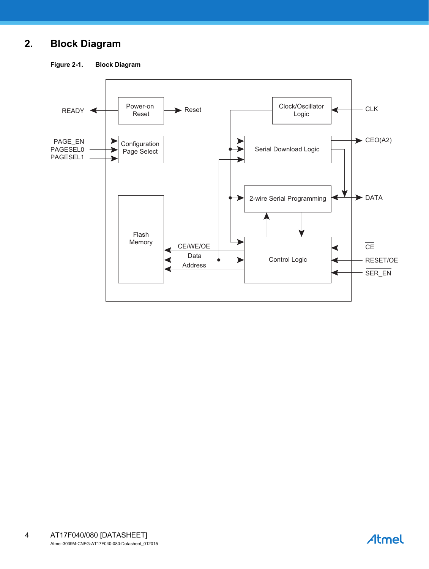## **2. Block Diagram**

**Figure 2-1. Block Diagram**



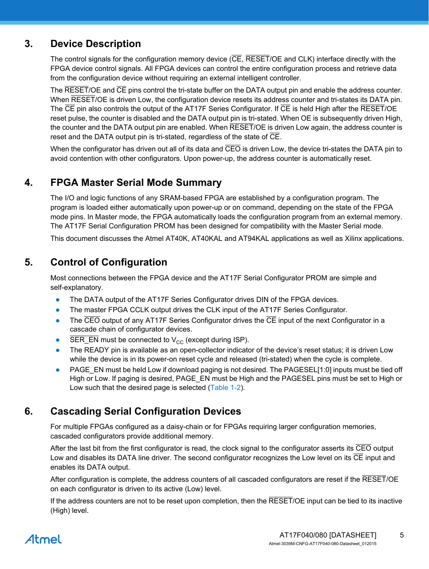## **3. Device Description**

The control signals for the configuration memory device (CE, RESET/OE and CLK) interface directly with the FPGA device control signals. All FPGA devices can control the entire configuration process and retrieve data from the configuration device without requiring an external intelligent controller.

The RESET/OE and CE pins control the tri-state buffer on the DATA output pin and enable the address counter. When RESET/OE is driven Low, the configuration device resets its address counter and tri-states its DATA pin. The CE pin also controls the output of the AT17F Series Configurator. If CE is held High after the RESET/OE reset pulse, the counter is disabled and the DATA output pin is tri-stated. When OE is subsequently driven High, the counter and the DATA output pin are enabled. When **RESET/OE** is driven Low again, the address counter is reset and the DATA output pin is tri-stated, regardless of the state of  $\overline{\text{CE}}$ .

When the configurator has driven out all of its data and  $\overline{CEO}$  is driven Low, the device tri-states the DATA pin to avoid contention with other configurators. Upon power-up, the address counter is automatically reset.

## **4. FPGA Master Serial Mode Summary**

The I/O and logic functions of any SRAM-based FPGA are established by a configuration program. The program is loaded either automatically upon power-up or on command, depending on the state of the FPGA mode pins. In Master mode, the FPGA automatically loads the configuration program from an external memory. The AT17F Serial Configuration PROM has been designed for compatibility with the Master Serial mode.

This document discusses the Atmel AT40K, AT40KAL and AT94KAL applications as well as Xilinx applications.

## **5. Control of Configuration**

Most connections between the FPGA device and the AT17F Serial Configurator PROM are simple and self-explanatory.

- The DATA output of the AT17F Series Configurator drives DIN of the FPGA devices.
- The master FPGA CCLK output drives the CLK input of the AT17F Series Configurator.
- The CEO output of any AT17F Series Configurator drives the CE input of the next Configurator in a cascade chain of configurator devices.
- SER\_EN must be connected to  $V_{CC}$  (except during ISP).
- The READY pin is available as an open-collector indicator of the device's reset status; it is driven Low while the device is in its power-on reset cycle and released (tri-stated) when the cycle is complete.
- PAGE\_EN must be held Low if download paging is not desired. The PAGESEL[1:0] inputs must be tied off High or Low. If paging is desired, PAGE\_EN must be High and the PAGESEL pins must be set to High or Low such that the desired page is selected [\(Table 1-2](#page-2-0)).

## **6. Cascading Serial Configuration Devices**

For multiple FPGAs configured as a daisy-chain or for FPGAs requiring larger configuration memories, cascaded configurators provide additional memory.

After the last bit from the first configurator is read, the clock signal to the configurator asserts its CEO output Low and disables its DATA line driver. The second configurator recognizes the Low level on its CE input and enables its DATA output.

After configuration is complete, the address counters of all cascaded configurators are reset if the RESET/OE on each configurator is driven to its active (Low) level.

If the address counters are not to be reset upon completion, then the RESET/OE input can be tied to its inactive (High) level.

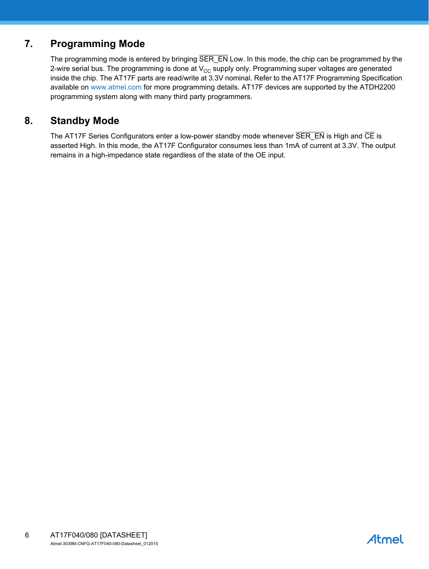## **7. Programming Mode**

The programming mode is entered by bringing SER\_EN Low. In this mode, the chip can be programmed by the 2-wire serial bus. The programming is done at  $V_{CC}$  supply only. Programming super voltages are generated inside the chip. The AT17F parts are read/write at 3.3V nominal. Refer to the AT17F Programming Specification available on www.atmel.com for more programming details. AT17F devices are supported by the ATDH2200 programming system along with many third party programmers.

## **8. Standby Mode**

The AT17F Series Configurators enter a low-power standby mode whenever  $\overline{\text{SER EN}}$  is High and  $\overline{\text{CE}}$  is asserted High. In this mode, the AT17F Configurator consumes less than 1mA of current at 3.3V. The output remains in a high-impedance state regardless of the state of the OE input.

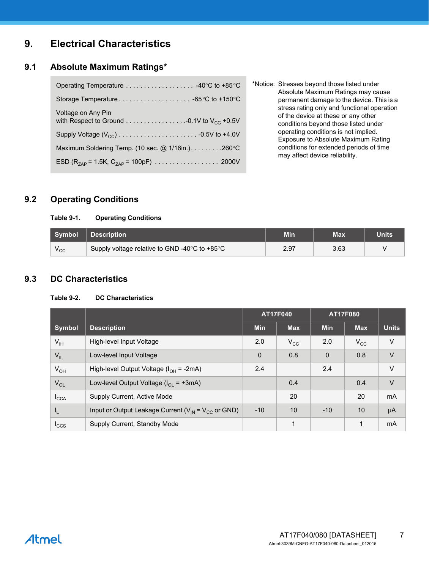## **9. Electrical Characteristics**

#### **9.1 Absolute Maximum Ratings\***

| Voltage on Any Pin                                    |
|-------------------------------------------------------|
|                                                       |
| Maximum Soldering Temp. (10 sec. $@$ 1/16in.). 260 °C |
|                                                       |

\*Notice: Stresses beyond those listed under Absolute Maximum Ratings may cause permanent damage to the device. This is a stress rating only and functional operation of the device at these or any other conditions beyond those listed under operating conditions is not implied. Exposure to Absolute Maximum Rating conditions for extended periods of time may affect device reliability.

## **9.2 Operating Conditions**

#### **Table 9-1. Operating Conditions**

| Symbol       | <b>Description</b>                            | Min  | Max  | Units |
|--------------|-----------------------------------------------|------|------|-------|
| $v_{\rm CC}$ | Supply voltage relative to GND -40°C to +85°C | 2.97 | 3.63 |       |

### **9.3 DC Characteristics**

#### **Table 9-2. DC Characteristics**

|                  |                                                             |              | AT17F040     |             | AT17F080     |              |
|------------------|-------------------------------------------------------------|--------------|--------------|-------------|--------------|--------------|
| <b>Symbol</b>    | <b>Description</b>                                          | <b>Min</b>   | <b>Max</b>   | <b>Min</b>  | <b>Max</b>   | <b>Units</b> |
| $V_{\text{IH}}$  | High-level Input Voltage                                    | 2.0          | $V_{\rm CC}$ | 2.0         | $V_{\rm CC}$ | $\vee$       |
| $V_{IL}$         | Low-level Input Voltage                                     | $\mathbf{0}$ | 0.8          | $\mathbf 0$ | 0.8          | $\vee$       |
| $V_{OH}$         | High-level Output Voltage $(l_{OH} = -2mA)$                 | 2.4          |              | 2.4         |              | $\vee$       |
| $V_{OL}$         | Low-level Output Voltage ( $I_{OL}$ = +3mA)                 |              | 0.4          |             | 0.4          | $\vee$       |
| $I_{\text{CCA}}$ | Supply Current, Active Mode                                 |              | 20           |             | 20           | <b>mA</b>    |
| $I_{L}$          | Input or Output Leakage Current ( $V_{IN} = V_{CC}$ or GND) | $-10$        | 10           | $-10$       | 10           | μA           |
| $I_{CCS}$        | Supply Current, Standby Mode                                |              | 1            |             | 1            | mA           |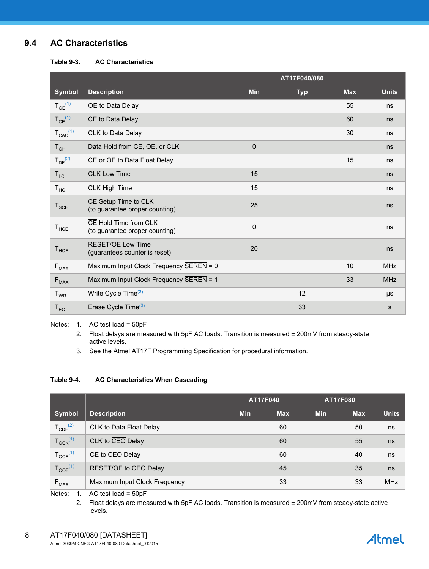## **9.4 AC Characteristics**

**Table 9-3. AC Characteristics**

|                         |                                                             | AT17F040/080 |            |            |              |
|-------------------------|-------------------------------------------------------------|--------------|------------|------------|--------------|
| <b>Symbol</b>           | <b>Description</b>                                          | <b>Min</b>   | <b>Typ</b> | <b>Max</b> | <b>Units</b> |
| $T_{OE}^{(1)}$          | OE to Data Delay                                            |              |            | 55         | ns           |
| $T_{CE}$ <sup>(1)</sup> | $\overline{CE}$ to Data Delay                               |              |            | 60         | ns           |
| $T_{CAC}^{(1)}$         | CLK to Data Delay                                           |              |            | 30         | ns           |
| $T_{OH}$                | Data Hold from CE, OE, or CLK                               | $\mathbf 0$  |            |            | ns           |
| $T_{\rm DF}^{(2)}$      | CE or OE to Data Float Delay                                |              |            | 15         | ns           |
| $T_{LC}$                | <b>CLK Low Time</b>                                         | 15           |            |            | ns           |
| $T_{HC}$                | <b>CLK High Time</b>                                        | 15           |            |            | ns           |
| $T_{\text{SCE}}$        | CE Setup Time to CLK<br>(to guarantee proper counting)      | 25           |            |            | ns           |
| $T_{HCE}$               | CE Hold Time from CLK<br>(to guarantee proper counting)     | $\pmb{0}$    |            |            | ns           |
| $T_{HOE}$               | <b>RESET/OE Low Time</b><br>(guarantees counter is reset)   | 20           |            |            | ns           |
| $F_{MAX}$               | Maximum Input Clock Frequency $\overline{\text{SEREN}} = 0$ |              |            | 10         | <b>MHz</b>   |
| $F_{MAX}$               | Maximum Input Clock Frequency SEREN = 1                     |              |            | 33         | <b>MHz</b>   |
| $T_{WR}$                | Write Cycle Time <sup>(3)</sup>                             |              | 12         |            | μs           |
| $T_{EC}$                | Erase Cycle Time <sup>(3)</sup>                             |              | 33         |            | s            |

<span id="page-7-2"></span><span id="page-7-1"></span><span id="page-7-0"></span>Notes: 1. AC test load = 50pF

2. Float delays are measured with 5pF AC loads. Transition is measured ± 200mV from steady-state active levels.

3. See the Atmel AT17F Programming Specification for procedural information.

#### **Table 9-4. AC Characteristics When Cascading**

|                          |                                                         | <b>AT17F040</b> |            | <b>AT17F080</b> |            |              |
|--------------------------|---------------------------------------------------------|-----------------|------------|-----------------|------------|--------------|
| Symbol                   | <b>Description</b>                                      | <b>Min</b>      | <b>Max</b> | <b>Min</b>      | <b>Max</b> | <b>Units</b> |
| $T_{CDF}^{(2)}$          | CLK to Data Float Delay                                 |                 | 60         |                 | 50         | ns           |
| $T_{OCK}$ <sup>(1)</sup> | CLK to CEO Delay                                        |                 | 60         |                 | 55         | ns           |
| $T_{OCE}$ <sup>(1)</sup> | $\overline{\text{CE}}$ to $\overline{\text{CEO}}$ Delay |                 | 60         |                 | 40         | ns           |
| $T_{OOE}$ <sup>(1)</sup> | RESET/OE to CEO Delay                                   |                 | 45         |                 | 35         | ns           |
| $F_{MAX}$                | Maximum Input Clock Frequency                           |                 | 33         |                 | 33         | <b>MHz</b>   |

Notes: 1. AC test load = 50pF

2. Float delays are measured with 5pF AC loads. Transition is measured ± 200mV from steady-state active levels.

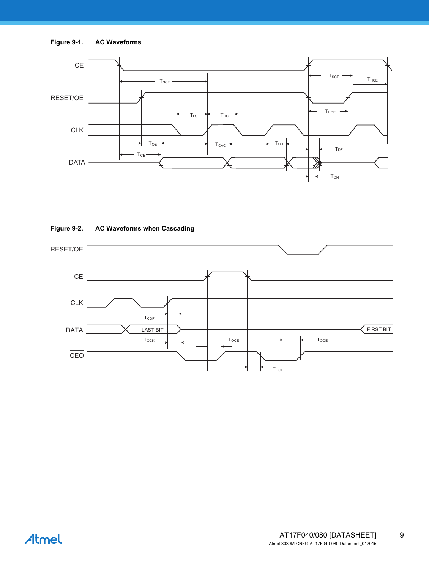



#### **Figure 9-2. AC Waveforms when Cascading**

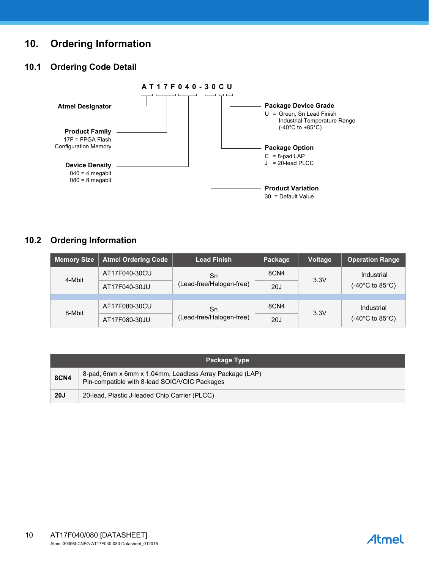## **10. Ordering Information**

## **10.1 Ordering Code Detail**



## **10.2 Ordering Information**

| <b>Memory Size</b> | <b>Atmel Ordering Code</b> | <b>Lead Finish</b>       | Package | <b>Voltage</b> | <b>Operation Range</b>                            |  |
|--------------------|----------------------------|--------------------------|---------|----------------|---------------------------------------------------|--|
| 4-Mbit             | AT17F040-30CU              | Sn                       | 8CN4    | 3.3V           | Industrial                                        |  |
|                    | AT17F040-30JU              | (Lead-free/Halogen-free) | 20J     |                | $(-40^{\circ}$ C to 85 $^{\circ}$ C)              |  |
|                    |                            |                          |         |                |                                                   |  |
| 8-Mbit             | AT17F080-30CU              | Sn                       | 8CN4    | 3.3V           | Industrial<br>(-40 $\degree$ C to 85 $\degree$ C) |  |
|                    | AT17F080-30JU              | (Lead-free/Halogen-free) | 20J     |                |                                                   |  |

|             | <b>Package Type</b>                                                                                      |  |  |  |
|-------------|----------------------------------------------------------------------------------------------------------|--|--|--|
| <b>8CN4</b> | 8-pad, 6mm x 6mm x 1.04mm, Leadless Array Package (LAP)<br>Pin-compatible with 8-lead SOIC/VOIC Packages |  |  |  |
| 20J         | 20-lead, Plastic J-leaded Chip Carrier (PLCC)                                                            |  |  |  |

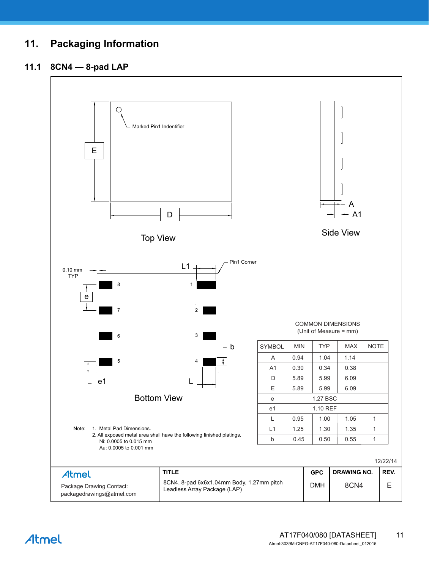## **11. Packaging Information**

### **11.1 8CN4 — 8-pad LAP**



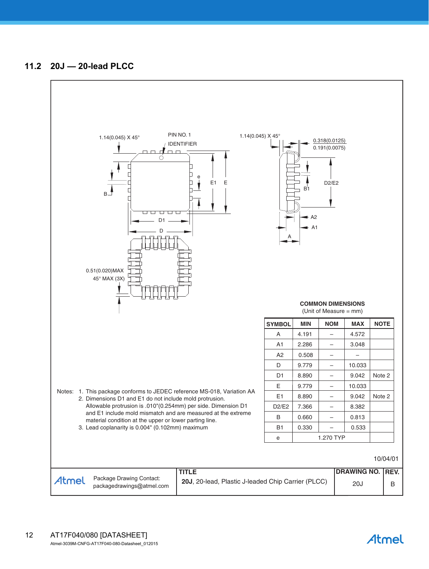

Atmel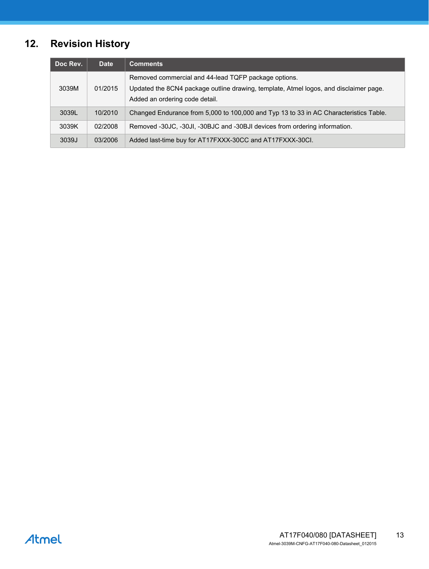# **12. Revision History**

| Doc Rev. | <b>Date</b> | <b>Comments</b>                                                                                                                                                                 |
|----------|-------------|---------------------------------------------------------------------------------------------------------------------------------------------------------------------------------|
| 3039M    | 01/2015     | Removed commercial and 44-lead TQFP package options.<br>Updated the 8CN4 package outline drawing, template, Atmel logos, and disclaimer page.<br>Added an ordering code detail. |
| 3039L    | 10/2010     | Changed Endurance from 5,000 to 100,000 and Typ 13 to 33 in AC Characteristics Table.                                                                                           |
| 3039K    | 02/2008     | Removed -30JC, -30JI, -30BJC and -30BJI devices from ordering information.                                                                                                      |
| 3039J    | 03/2006     | Added last-time buy for AT17FXXX-30CC and AT17FXXX-30CI.                                                                                                                        |